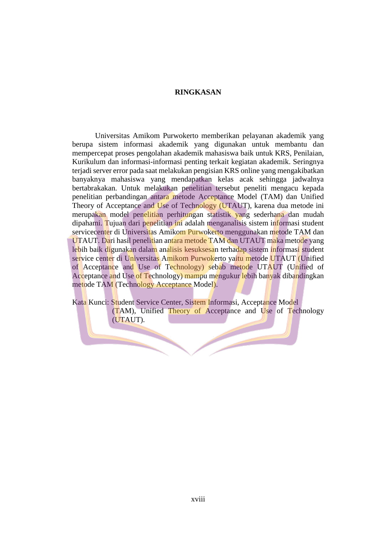## **RINGKASAN**

Universitas Amikom Purwokerto memberikan pelayanan akademik yang berupa sistem informasi akademik yang digunakan untuk membantu dan mempercepat proses pengolahan akademik mahasiswa baik untuk KRS, Penilaian, Kurikulum dan informasi-informasi penting terkait kegiatan akademik. Seringnya terjadi server error pada saat melakukan pengisian KRS online yang mengakibatkan banyaknya mahasiswa yang mendapatkan kelas acak sehingga jadwalnya bertabrakakan. Untuk melakukan penelitian tersebut peneliti mengacu kepada penelitian perbandingan antara metode Acceptance Model (TAM) dan Unified Theory of Acceptance and Use of Technology (UTAUT), karena dua metode ini merupakan model penelitian perhitungan statistik yang sederhana dan mudah dipahami. Tujuan dari penelitian ini adalah menganalisis sistem informasi student servicecenter di Universitas Amikom Purwokerto menggunakan metode TAM dan UTAUT. Dari hasil penelitian antara metode TAM dan UTAUT maka metode yang lebih baik digunakan dalam analisis kesuksesan terhadap sistem informasi student service center di Universitas Amikom Purwokerto vaitu metode UTAUT (Unified of Acceptance and Use of Technology) sebab metode UTAUT (Unified of Acceptance and Use of Technology) mampu mengukur lebih banyak dibandingkan metode TAM (Technology Acceptance Model).

Kata Kunci: Student Service Center, Sistem Informasi, Acceptance Model (TAM), Unified Theory of Acceptance and Use of Technology (UTAUT).